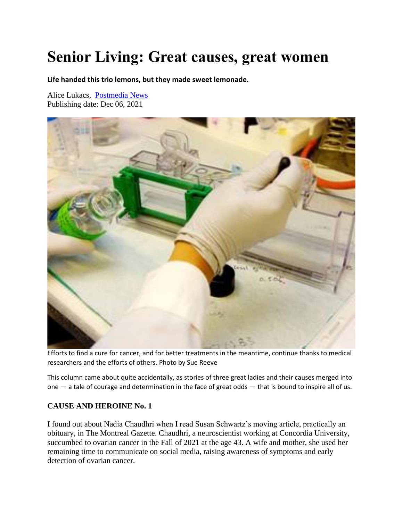## **Senior Living: Great causes, great women**

**Life handed this trio lemons, but they made sweet lemonade.**

Alice Lukacs, [Postmedia News](https://nationalpost.com/author/postmedianews/) Publishing date: Dec 06, 2021



Efforts to find a cure for cancer, and for better treatments in the meantime, continue thanks to medical researchers and the efforts of others. Photo by Sue Reeve

This column came about quite accidentally, as stories of three great ladies and their causes merged into one — a tale of courage and determination in the face of great odds — that is bound to inspire all of us.

## **CAUSE AND HEROINE No. 1**

I found out about Nadia Chaudhri when I read Susan Schwartz's moving article, practically an obituary, in The Montreal Gazette. Chaudhri, a neuroscientist working at Concordia University, succumbed to ovarian cancer in the Fall of 2021 at the age 43. A wife and mother, she used her remaining time to communicate on social media, raising awareness of symptoms and early detection of ovarian cancer.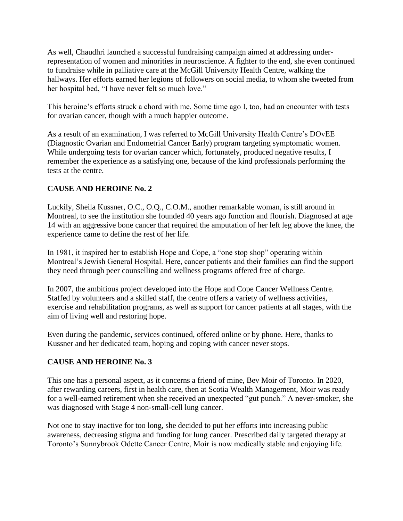As well, Chaudhri launched a successful fundraising campaign aimed at addressing underrepresentation of women and minorities in neuroscience. A fighter to the end, she even continued to fundraise while in palliative care at the McGill University Health Centre, walking the hallways. Her efforts earned her legions of followers on social media, to whom she tweeted from her hospital bed, "I have never felt so much love."

This heroine's efforts struck a chord with me. Some time ago I, too, had an encounter with tests for ovarian cancer, though with a much happier outcome.

As a result of an examination, I was referred to McGill University Health Centre's DOvEE (Diagnostic Ovarian and Endometrial Cancer Early) program targeting symptomatic women. While undergoing tests for ovarian cancer which, fortunately, produced negative results, I remember the experience as a satisfying one, because of the kind professionals performing the tests at the centre.

## **CAUSE AND HEROINE No. 2**

Luckily, Sheila Kussner, O.C., O.Q., C.O.M., another remarkable woman, is still around in Montreal, to see the institution she founded 40 years ago function and flourish. Diagnosed at age 14 with an aggressive bone cancer that required the amputation of her left leg above the knee, the experience came to define the rest of her life.

In 1981, it inspired her to establish Hope and Cope, a "one stop shop" operating within Montreal's Jewish General Hospital. Here, cancer patients and their families can find the support they need through peer counselling and wellness programs offered free of charge.

In 2007, the ambitious project developed into the Hope and Cope Cancer Wellness Centre. Staffed by volunteers and a skilled staff, the centre offers a variety of wellness activities, exercise and rehabilitation programs, as well as support for cancer patients at all stages, with the aim of living well and restoring hope.

Even during the pandemic, services continued, offered online or by phone. Here, thanks to Kussner and her dedicated team, hoping and coping with cancer never stops.

## **CAUSE AND HEROINE No. 3**

This one has a personal aspect, as it concerns a friend of mine, Bev Moir of Toronto. In 2020, after rewarding careers, first in health care, then at Scotia Wealth Management, Moir was ready for a well-earned retirement when she received an unexpected "gut punch." A never-smoker, she was diagnosed with Stage 4 non-small-cell lung cancer.

Not one to stay inactive for too long, she decided to put her efforts into increasing public awareness, decreasing stigma and funding for lung cancer. Prescribed daily targeted therapy at Toronto's Sunnybrook Odette Cancer Centre, Moir is now medically stable and enjoying life.